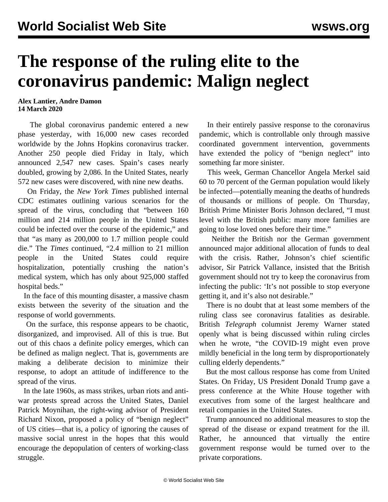## **The response of the ruling elite to the coronavirus pandemic: Malign neglect**

## **Alex Lantier, Andre Damon 14 March 2020**

 The global coronavirus pandemic entered a new phase yesterday, with 16,000 new cases recorded worldwide by the Johns Hopkins coronavirus tracker. Another 250 people died Friday in Italy, which announced 2,547 new cases. Spain's cases nearly doubled, growing by 2,086. In the United States, nearly 572 new cases were discovered, with nine new deaths.

 On Friday, the *New York Times* published internal CDC estimates outlining various scenarios for the spread of the virus, concluding that "between 160 million and 214 million people in the United States could be infected over the course of the epidemic," and that "as many as 200,000 to 1.7 million people could die." The *Times* continued, "2.4 million to 21 million people in the United States could require hospitalization, potentially crushing the nation's medical system, which has only about 925,000 staffed hospital beds."

 In the face of this mounting disaster, a massive chasm exists between the severity of the situation and the response of world governments.

 On the surface, this response appears to be chaotic, disorganized, and improvised. All of this is true. But out of this chaos a definite policy emerges, which can be defined as malign neglect. That is, governments are making a deliberate decision to minimize their response, to adopt an attitude of indifference to the spread of the virus.

 In the late 1960s, as mass strikes, urban riots and antiwar protests spread across the United States, Daniel Patrick Moynihan, the right-wing advisor of President Richard Nixon, proposed a policy of "benign neglect" of US cities—that is, a policy of ignoring the causes of massive social unrest in the hopes that this would encourage the depopulation of centers of working-class struggle.

 In their entirely passive response to the coronavirus pandemic, which is controllable only through massive coordinated government intervention, governments have extended the policy of "benign neglect" into something far more sinister.

 This week, German Chancellor Angela Merkel said 60 to 70 percent of the German population would likely be infected—potentially meaning the deaths of hundreds of thousands or millions of people. On Thursday, British Prime Minister Boris Johnson declared, "I must level with the British public: many more families are going to lose loved ones before their time."

 Neither the British nor the German government announced major additional allocation of funds to deal with the crisis. Rather, Johnson's chief scientific advisor, Sir Patrick Vallance, insisted that the British government should not try to keep the coronavirus from infecting the public: 'It's not possible to stop everyone getting it, and it's also not desirable."

 There is no doubt that at least some members of the ruling class see coronavirus fatalities as desirable. British *Telegraph* columnist Jeremy Warner stated openly what is being discussed within ruling circles when he wrote, "the COVID-19 might even prove mildly beneficial in the long term by disproportionately culling elderly dependents."

 But the most callous response has come from United States. On Friday, US President Donald Trump gave a press conference at the White House together with executives from some of the largest healthcare and retail companies in the United States.

 Trump announced no additional measures to stop the spread of the disease or expand treatment for the ill. Rather, he announced that virtually the entire government response would be turned over to the private corporations.